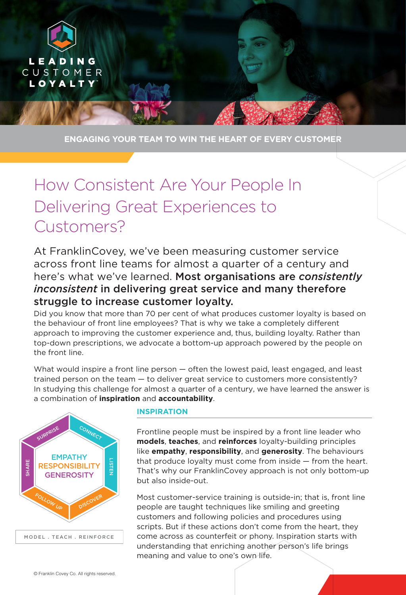

**ENGAGING YOUR TEAM TO WIN THE HEART OF EVERY CUSTOMER**

## How Consistent Are Your People In Delivering Great Experiences to Customers?

At FranklinCovey, we've been measuring customer service across front line teams for almost a quarter of a century and here's what we've learned. Most organisations are *consistently inconsistent* in delivering great service and many therefore struggle to increase customer loyalty.

Did you know that more than 70 per cent of what produces customer loyalty is based on the behaviour of front line employees? That is why we take a completely different approach to improving the customer experience and, thus, building loyalty. Rather than top-down prescriptions, we advocate a bottom-up approach powered by the people on the front line.

What would inspire a front line person — often the lowest paid, least engaged, and least trained person on the team — to deliver great service to customers more consistently? In studying this challenge for almost a quarter of a century, we have learned the answer is a combination of **inspiration** and **accountability**.



## **INSPIRATION**

Frontline people must be inspired by a front line leader who **models**, **teaches**, and **reinforces** loyalty-building principles like **empathy**, **responsibility**, and **generosity**. The behaviours that produce loyalty must come from inside — from the heart. That's why our FranklinCovey approach is not only bottom-up but also inside-out.

Most customer-service training is outside-in; that is, front line people are taught techniques like smiling and greeting customers and following policies and procedures using scripts. But if these actions don't come from the heart, they come across as counterfeit or phony. Inspiration starts with understanding that enriching another person's life brings meaning and value to one's own life.